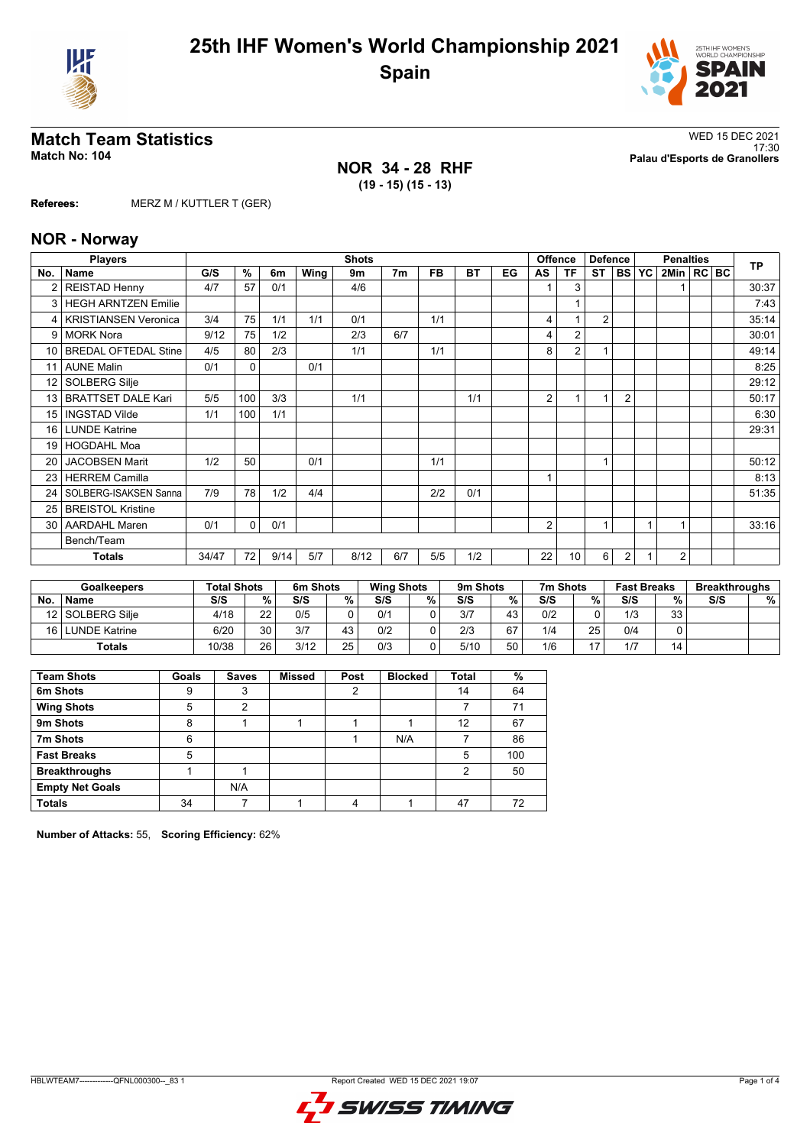



# **Match Team Statistics** WED 15 DEC 2021

17:30 **Match No: 104 Palau d'Esports de Granollers NOR 34 - 28 RHF (19 - 15) (15 - 13)**

**Referees:** MERZ M / KUTTLER T (GER)

## **NOR - Norway**

|                 | <b>Players</b>              |       |               |      |      | <b>Shots</b> |                |     |           |    |    | Offence         | <b>Defence</b> |                | <b>Penalties</b> |                |  |  | <b>TP</b> |
|-----------------|-----------------------------|-------|---------------|------|------|--------------|----------------|-----|-----------|----|----|-----------------|----------------|----------------|------------------|----------------|--|--|-----------|
| No.             | Name                        | G/S   | $\frac{9}{6}$ | 6m   | Wing | 9m           | 7 <sub>m</sub> | FB. | <b>BT</b> | EG | AS | ΤF              | <b>ST</b>      | <b>BS YC</b>   |                  | 2Min   RC   BC |  |  |           |
|                 | <b>REISTAD Henny</b>        | 4/7   | 57            | 0/1  |      | 4/6          |                |     |           |    |    | 3               |                |                |                  |                |  |  | 30:37     |
| 3               | <b>HEGH ARNTZEN Emilie</b>  |       |               |      |      |              |                |     |           |    |    |                 |                |                |                  |                |  |  | 7:43      |
| 4               | <b>KRISTIANSEN Veronica</b> | 3/4   | 75            | 1/1  | 1/1  | 0/1          |                | 1/1 |           |    | 4  |                 | $\overline{2}$ |                |                  |                |  |  | 35:14     |
| 9               | <b>MORK Nora</b>            | 9/12  | 75            | 1/2  |      | 2/3          | 6/7            |     |           |    | 4  | $\overline{2}$  |                |                |                  |                |  |  | 30:01     |
| 10              | <b>BREDAL OFTEDAL Stine</b> | 4/5   | 80            | 2/3  |      | 1/1          |                | 1/1 |           |    | 8  | $\overline{2}$  | 1              |                |                  |                |  |  | 49:14     |
| 11              | <b>AUNE Malin</b>           | 0/1   | 0             |      | 0/1  |              |                |     |           |    |    |                 |                |                |                  |                |  |  | 8:25      |
| 12 <sup>°</sup> | SOLBERG Silje               |       |               |      |      |              |                |     |           |    |    |                 |                |                |                  |                |  |  | 29:12     |
| 13              | <b>BRATTSET DALE Kari</b>   | 5/5   | 100           | 3/3  |      | 1/1          |                |     | 1/1       |    | 2  |                 |                | $\overline{2}$ |                  |                |  |  | 50:17     |
| 15              | <b>INGSTAD Vilde</b>        | 1/1   | 100           | 1/1  |      |              |                |     |           |    |    |                 |                |                |                  |                |  |  | 6:30      |
| 16              | <b>LUNDE Katrine</b>        |       |               |      |      |              |                |     |           |    |    |                 |                |                |                  |                |  |  | 29:31     |
| 19              | <b>HOGDAHL Moa</b>          |       |               |      |      |              |                |     |           |    |    |                 |                |                |                  |                |  |  |           |
| 20              | <b>JACOBSEN Marit</b>       | 1/2   | 50            |      | 0/1  |              |                | 1/1 |           |    |    |                 | $\overline{1}$ |                |                  |                |  |  | 50:12     |
| 23              | <b>HERREM Camilla</b>       |       |               |      |      |              |                |     |           |    |    |                 |                |                |                  |                |  |  | 8:13      |
| 24              | SOLBERG-ISAKSEN Sanna       | 7/9   | 78            | 1/2  | 4/4  |              |                | 2/2 | 0/1       |    |    |                 |                |                |                  |                |  |  | 51:35     |
| 25              | <b>BREISTOL Kristine</b>    |       |               |      |      |              |                |     |           |    |    |                 |                |                |                  |                |  |  |           |
| 30              | <b>AARDAHL Maren</b>        | 0/1   | $\mathbf{0}$  | 0/1  |      |              |                |     |           |    | 2  |                 | $\overline{1}$ |                | 1                |                |  |  | 33:16     |
|                 | Bench/Team                  |       |               |      |      |              |                |     |           |    |    |                 |                |                |                  |                |  |  |           |
|                 | Totals                      | 34/47 | 72            | 9/14 | 5/7  | 8/12         | 6/7            | 5/5 | 1/2       |    | 22 | 10 <sup>1</sup> | 6              | 2              |                  | 2              |  |  |           |

|      | <b>Goalkeepers</b>   | <b>Total Shots</b> |    | 6m Shots |    | <b>Wing Shots</b> |    | 9m Shots |    | 7m Shots |    | <b>Fast Breaks</b> |    | <b>Breakthroughs</b> |   |
|------|----------------------|--------------------|----|----------|----|-------------------|----|----------|----|----------|----|--------------------|----|----------------------|---|
| No   | <b>Name</b>          | S/S                | %  | S/S      | %  | S/S               | %. | S/S      | %  | S/S      | %  | S/S                | %  | S/S                  | % |
|      | 12 SOLBERG Silie     | 4/18               | 22 | 0/5      |    | 0/1               |    | 3/7      | 43 | 0/2      |    | 1/3                | 33 |                      |   |
| 16 L | <b>LUNDE Katrine</b> | 6/20               | 30 | 3/7      | 43 | 0/2               |    | 2/3      | 67 | 1/4      | 25 | 0/4                |    |                      |   |
|      | Totals               | 10/38              | 26 | 3/12     | 25 | 0/3               |    | 5/10     | 50 | 1/6      | 17 | 1/7                | 14 |                      |   |

| <b>Team Shots</b>      | Goals | <b>Saves</b> | <b>Missed</b> | Post | <b>Blocked</b> | <b>Total</b> | %   |
|------------------------|-------|--------------|---------------|------|----------------|--------------|-----|
| 6m Shots               | 9     | 3            |               | 2    |                | 14           | 64  |
| <b>Wing Shots</b>      | 5     | 2            |               |      |                |              | 71  |
| 9m Shots               | 8     |              |               |      |                | 12           | 67  |
| 7m Shots               | 6     |              |               |      | N/A            |              | 86  |
| <b>Fast Breaks</b>     | 5     |              |               |      |                | 5            | 100 |
| <b>Breakthroughs</b>   |       |              |               |      |                | 2            | 50  |
| <b>Empty Net Goals</b> |       | N/A          |               |      |                |              |     |
| <b>Totals</b>          | 34    |              |               |      |                | 47           | 72  |

**Number of Attacks:** 55, **Scoring Efficiency:** 62%

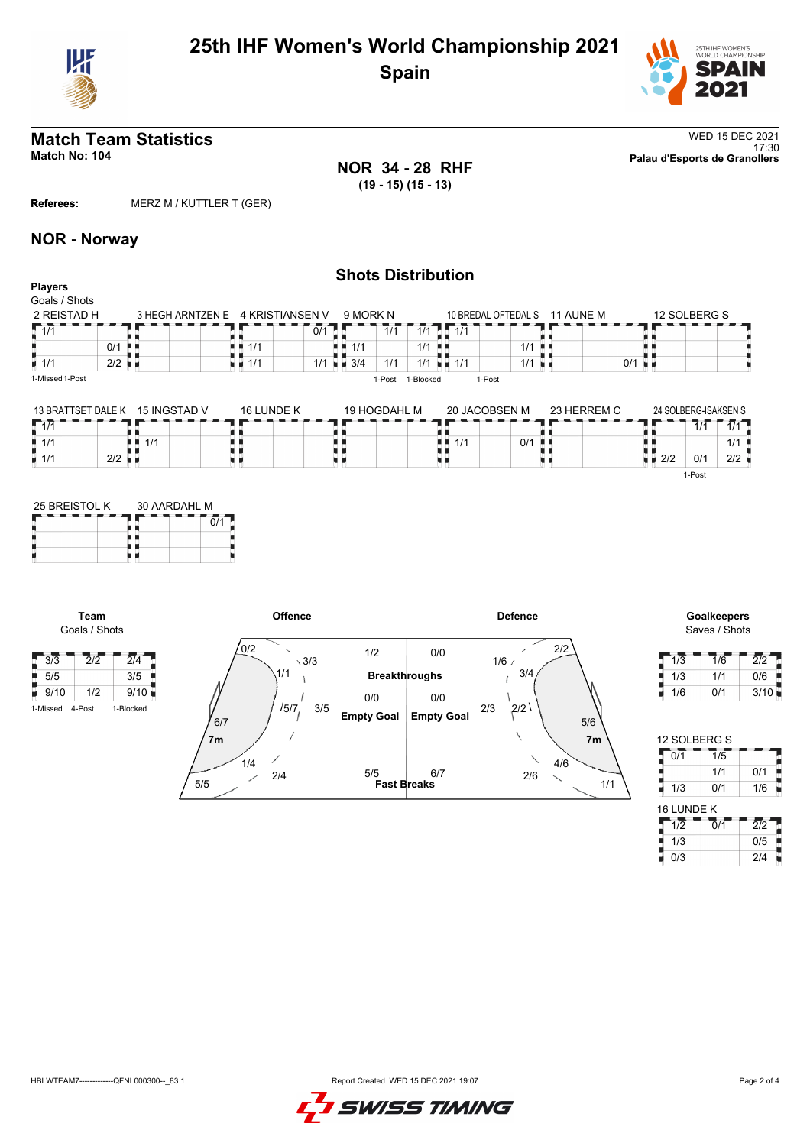



## **Match Team Statistics** WED 15 DEC 2021 17:30 **Match No: 104 Palau d'Esports de Granollers**

**NOR 34 - 28 RHF (19 - 15) (15 - 13)**

**Referees:** MERZ M / KUTTLER T (GER)

## **NOR - Norway**

### **Shots Distribution Players** Goals / Shots 2 REISTAD H 12 SOLBERG S 3 HEGH ARNTZEN E 4 KRISTIANSEN V 9 MORK N 10 BREDAL OFTEDAL S 11 AUNE M 1/1 1/1  $\frac{1}{1}$  1/1  $\sqrt{0/1}$  $1/1$  1/1 Ő  $\frac{1}{0/1}$ R. 1/1 .  $1/1$  $1/1$  1/1  $1/1$   $1/1$   $1/1$   $1/1$  $\overline{0/1}$  $\frac{1}{1/1}$  2/2  $\frac{1}{1}$  $1/1$  1/1 3/4 1/1 1/1 1-Missed1-Post 1-Post 1-Blocked 1-Post

| 13 BRATTSET DALE K |     | 15 INGSTAD V | 16 LUNDE K | 19 HOGDAHL M | 20 JACOBSEN M                      | 23 HERREM C | 24 SOLBERG-ISAKSEN S |        |                       |
|--------------------|-----|--------------|------------|--------------|------------------------------------|-------------|----------------------|--------|-----------------------|
| 1/1                |     |              |            |              |                                    |             |                      | 1/1    | 414<br>$\blacksquare$ |
| 1/1                |     | 1/1          |            |              | $0/1$ $\blacksquare$<br>1/1<br>n n |             |                      |        | 1/1                   |
| $\blacksquare$ 1/1 | 2/2 |              |            |              |                                    |             | $\blacksquare$ 2/2   | 0/1    | 2/2                   |
|                    |     |              |            |              |                                    |             |                      | 1-Post |                       |

| 25 BREISTOL K |  | 30 AARDAHL M |  |  |  |  |  |  |
|---------------|--|--------------|--|--|--|--|--|--|
|               |  |              |  |  |  |  |  |  |
|               |  |              |  |  |  |  |  |  |
|               |  |              |  |  |  |  |  |  |

**Team** Goals / Shots

Н





| 1/3 | 1/6 | 2/2  |
|-----|-----|------|
| 1/3 | 1/1 | 0/6  |
| 1/6 | 0/1 | 3/10 |

| 12 SOLBERG S    |                             |                 |
|-----------------|-----------------------------|-----------------|
| 0/1             | $\overline{1/5}$            |                 |
|                 | 1/1                         | 0/1             |
| 1/3             | 0/1                         | 1/6             |
| 16 LUNDE K      |                             |                 |
| $1\overline{2}$ | $\overline{0}/\overline{1}$ | $\overline{27}$ |
| 1/3             |                             | 0/5             |
| 0/3             |                             | 2/4             |

HBLWTEAM7-------------QFNL000300--\_83 1 Report Created WED 15 DEC 2021 19:07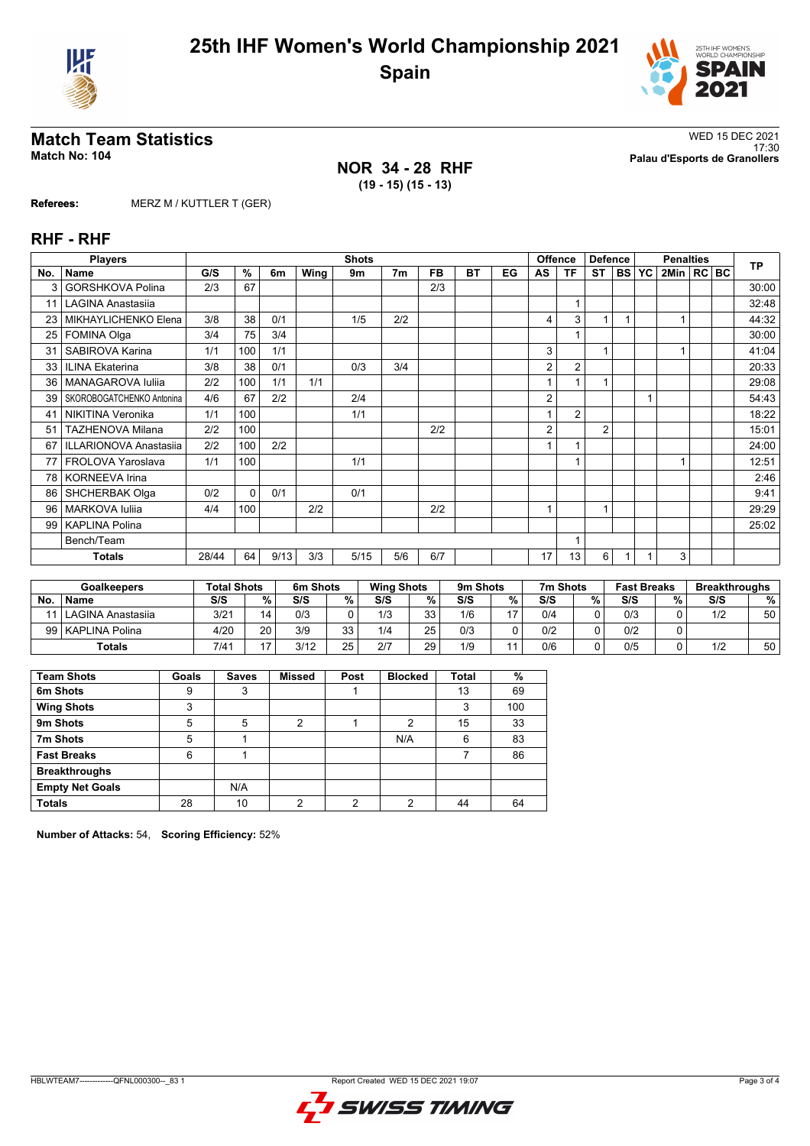



## **Match Team Statistics** WED 15 DEC 2021

**Referees:** MERZ M / KUTTLER T (GER)

**NOR 34 - 28 RHF (19 - 15) (15 - 13)**

17:30 **Match No: 104 Palau d'Esports de Granollers**

**RHF - RHF Players No. Name Shots G/S % 6m Wing 9m 7m FB BT EG Offence Defence AS TF ST BS Penalties YC 2Min RC BC TP** 3 GORSHKOVA Polina 2/3 67 2/3 30:00 11 LAGINA Anastasiia 1 32:48 23 MIKHAYLICHENKO Elena 3/8 38 0/1 1/5 2/2 1 1 4 3 1 1 1 1 1 44:32 25 FOMINA Olga 3/4 75 3/4 1 30:00 31 SABIROVA Karina 1/1 100 1/1 3 1 1 41:04 33 ILINA Ekaterina 3/8 38 0/1 0/3 3/4 2 2 20:33 36 MANAGAROVA Iuliia 2/2 100 1/1 1/1 1 1 1 29:08 39 SKOROBOGATCHENKO Antonina 4/6 67 2/2 2/4 2/4 2 2 1 1 1 54:43 41 NIKITINA Veronika 1/1 100 1/1 1 2 18:22 51 TAZHENOVA Milana 222 100 222 2 2 2 2 2 15:01 67 ILLARIONOVA Anastasiia 2/2 100 2/2 1 1 24:00 77 FROLOVA Yaroslava 1/1 100 1/1 1 1 12:51 78 KORNEEVA Irina 2:46 86 SHCHERBAK Olga 0/2 0 0/1 0/1 0/1 1 1 1 1 9:41 96 MARKOVA Iuliia 4/4 100 2/2 2/2 1 1 29:29 99 KAPLINA Polina 25:02 Bench/Team 1 and 1 and 1 and 1 and 1 and 1 and 1 and 1 and 1 and 1 and 1 and 1 and 1 and 1 and 1 and 1 and 1 and 1 and 1 and 1 and 1 and 1 and 1 and 1 and 1 and 1 and 1 and 1 and 1 and 1 and 1 and 1 and 1 and 1 and 1 and 1 **Totals** 5/15 5/15 6/7 17 13 6 11 11 3

|     | <b>Goalkeepers</b>  | <b>Total Shots</b> |                 | 6m Shots |          | <b>Wing Shots</b> |    | 9m Shots |    | 7m Shots |   | <b>Fast Breaks</b> |   | <b>Breakthroughs</b> |    |
|-----|---------------------|--------------------|-----------------|----------|----------|-------------------|----|----------|----|----------|---|--------------------|---|----------------------|----|
| No. | <b>Name</b>         | S/S                | $\%$ .          | S/S      | %        | S/S               | %  | S/S      | %  | S/S      | % | S/S                | % | S/S                  | %  |
|     | l LAGINA Anastasiia | 3/21               | 14              | 0/3      |          | 1/3               | วว | 1/6      | 17 | 0/4      |   | 0/3                |   | 1/2                  | 50 |
|     | 99   KAPLINA Polina | 4/20               | 20 <sub>1</sub> | 3/9      | 33<br>ບປ | 1/4               | 25 | 0/3      |    | 0/2      |   | 0/2                |   |                      |    |
|     | <b>Totals</b>       | 7/41               | $-1$            | 3/12     | 25       | 2/7               | 29 | 1/9      |    | 0/6      |   | 0/5                |   |                      | 50 |

| <b>Team Shots</b>      | Goals | <b>Saves</b> | <b>Missed</b> | Post | <b>Blocked</b> | <b>Total</b> | %   |
|------------------------|-------|--------------|---------------|------|----------------|--------------|-----|
| 6m Shots               | 9     | 3            |               |      |                | 13           | 69  |
| <b>Wing Shots</b>      | 3     |              |               |      |                | 3            | 100 |
| 9m Shots               | 5     | 5            | 2             |      | 2              | 15           | 33  |
| 7m Shots               | 5     |              |               |      | N/A            | 6            | 83  |
| <b>Fast Breaks</b>     | 6     |              |               |      |                |              | 86  |
| <b>Breakthroughs</b>   |       |              |               |      |                |              |     |
| <b>Empty Net Goals</b> |       | N/A          |               |      |                |              |     |
| <b>Totals</b>          | 28    | 10           | c             | ◠    | റ              | 44           | 64  |

**Number of Attacks:** 54, **Scoring Efficiency:** 52%